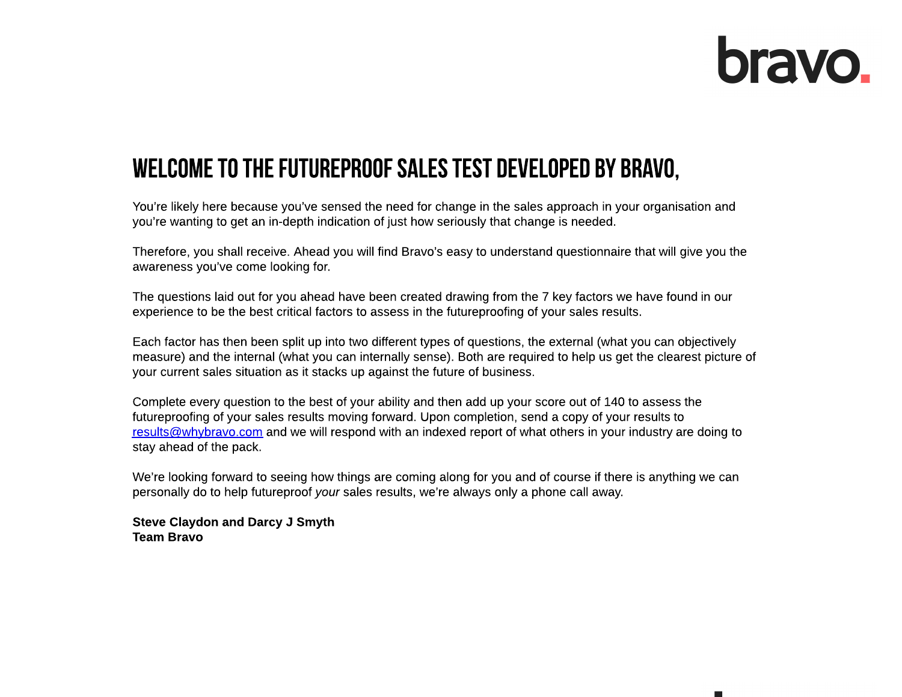# **bravo**

## WELCOME TO THE FUTUREPROOF SALES TEST DEVELOPED BY BRAVO,

You're likely here because you've sensed the need for change in the sales approach in your organisation and you?re wanting to get an in-depth indication of just how seriously that change is needed.

Therefore, you shall receive. Ahead you will find Bravo?s easy to understand questionnaire that will give you the awareness you?ve come looking for.

The questions laid out for you ahead have been created drawing from the 7 key factors we have found in our experience to be the best critical factors to assess in the futureproofing of your sales results.

Each factor has then been split up into two different types of questions, the external (what you can objectively measure) and the internal (what you can internally sense). Both are required to help us get the clearest picture of your current sales situation as it stacks up against the future of business.

Complete every question to the best of your ability and then add up your score out of 140 to assess the futureproofing of your sales results moving forward. Upon completion, send a copy of your results to results@whybravo.com and we will respond with an indexed report of what others in your industry are doing to stay ahead of the pack.

We're looking forward to seeing how things are coming along for you and of course if there is anything we can personally do to help futureproof **your** sales results, we?re always only a phone call away.

Steve Claydon and Darcy J Smyth Team Bravo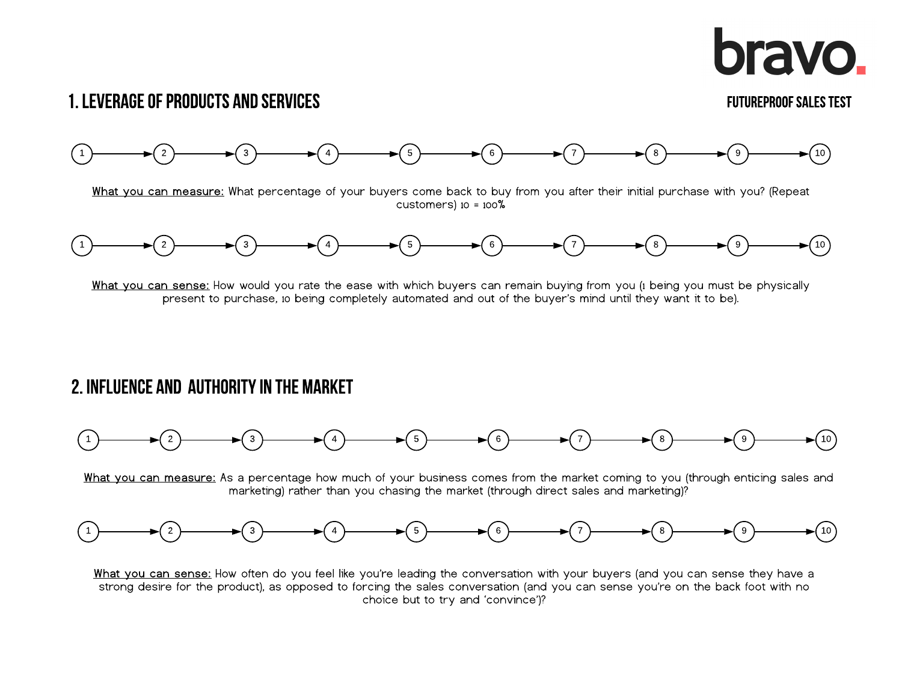# **bravo.**

### 1. LEVERAGE OF PRODUCTS AND SERVICES

#### FUTUREPROOFSALESTEST





What you can sense: How would you rate the ease with which buyers can remain buying from you (1 being you must be physically present to purchase, io being completely automated and out of the buyer's mind until they want it to be).

#### 2. INFLUENCE AND AUTHORITY IN THE MARKET



What you can measure: As a percentage how much of your business comes from the market coming to you (through enticing sales and marketing) rather than you chasing the market (through direct sales and marketing)?



What you can sense: How often do you feel like you're leading the conversation with your buyers (and you can sense they have a strong desire for the product), as opposed to forcing the sales conversation (and you can sense you?re on the back foot with no choice but to try and 'convince')?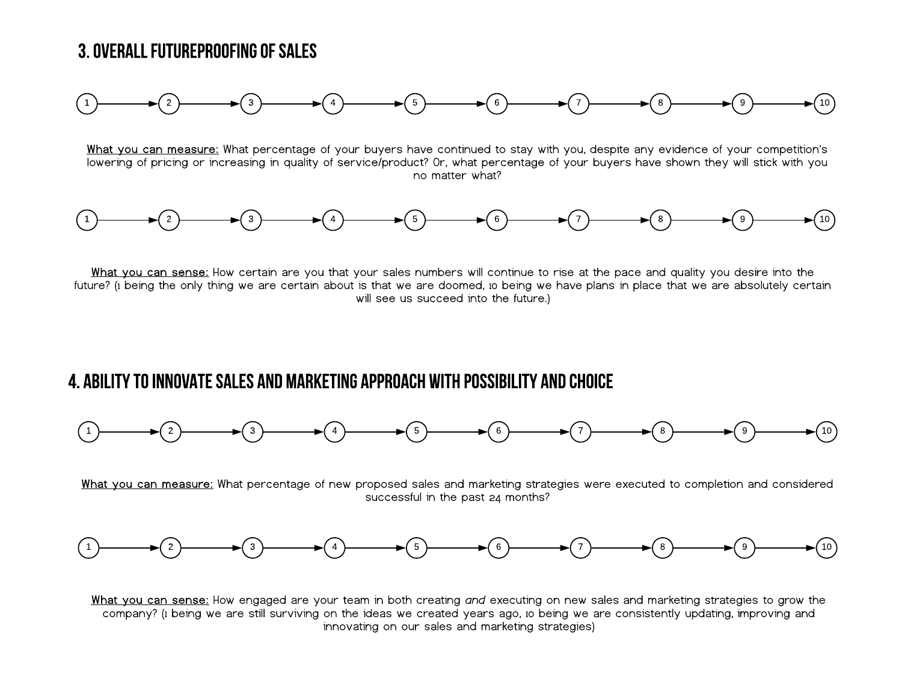#### 3. OVERALL FUTUREPROOFING OF SALES



What you can measure: What percentage of your buyers have continued to stay with you, despite any evidence of your competition's lowering of pricing or increasing in quality of service/product? Or, what percentage of your buyers have shown they will stick with you no matter what?



What you can sense: How certain are you that your sales numbers will continue to rise at the pace and quality you desire into the future? (1 being the only thing we are certain about is that we are doomed, 10 being we have plans in place that we are absolutely certain will see us succeed into the future.)

#### 4. ABILITY TO INNOVATE SALES AND MARKETING APPROACH WITH POSSIBILITY AND CHOICE



What you can measure: What percentage of new proposed sales and marketing strategies were executed to completion and considered successful in the past 24 months?



What you can sense: How engaged are your team in both creating **and** executing on new sales and marketing strategies to grow the company? (1being we are still surviving on the ideas we created years ago, 10 being we are consistently updating, improving and innovating on our sales and marketing strategies)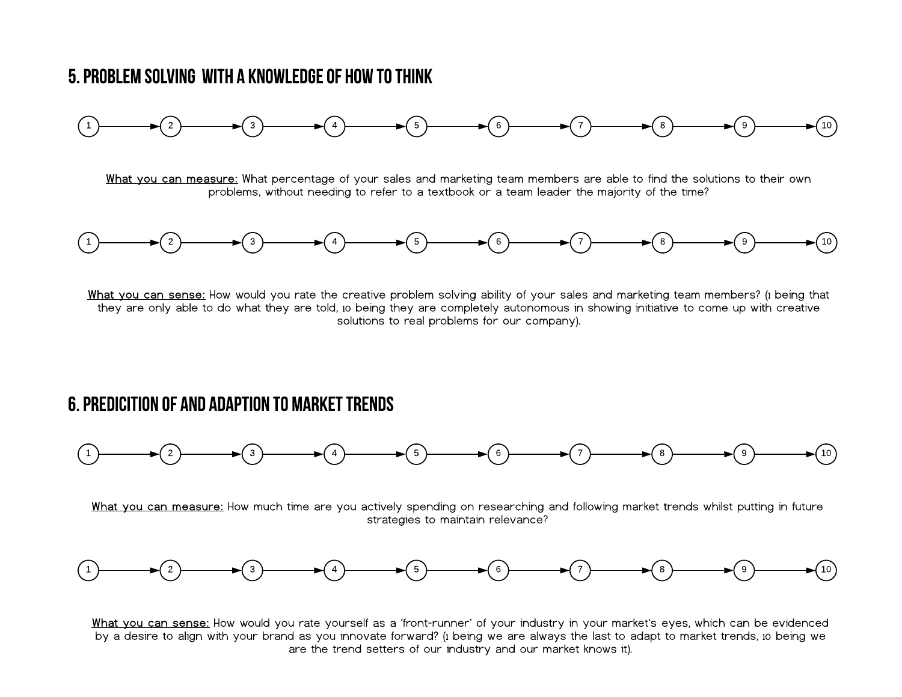#### 5.PROBLEMSOLVINGWITHAKNOWLEDGEOFHOWTOTHINK



What you can measure: What percentage of your sales and marketing team members are able to find the solutions to their own problems, without needing to refer to a textbook or a team leader the majority of the time?



What you can sense: How would you rate the creative problem solving ability of your sales and marketing team members? (1 being that they are only able to do what they are told, 10 being they are completely autonomous in showing initiative to come up with creative solutions to real problems for our company).

#### 6. PREDICITION OF AND ADAPTION TO MARKET TRENDS



What you can measure: How much time are you actively spending on researching and following market trends whilst putting in future strategies to maintain relevance?



What you can sense: How would you rate yourself as a 'front-runner' of your industry in your market's eyes, which can be evidenced by a desire to align with your brand as you innovate forward? (i being we are always the last to adapt to market trends, io being we are the trend setters of our industry and our market knows it).